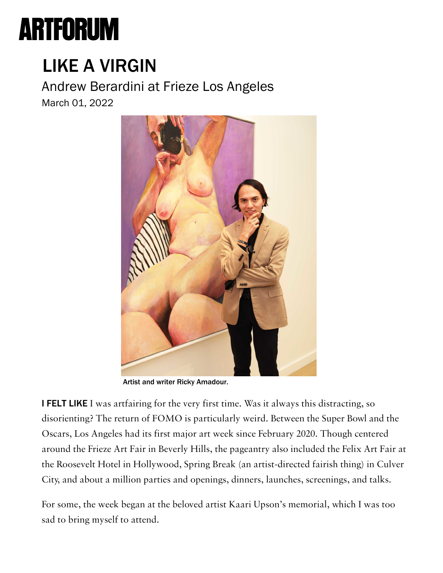## **ARTFORUM**

## [L](https://www.artforum.com/subscribe?tid=NAVT)[IKE A VIRGIN](https://www.artforum.com/diary/andrew-berardini-at-frieze-los-angeles-88033)

Andrew Berardini at Frieze Los Angeles March 01, 2022



Artist and writer Ricky Amadour.

I FELT LIKE I was artfairing for the very first time. Was it always this distracting, so disorienting? The return of FOMO is particularly weird. Between the Super Bowl and the Oscars, Los Angeles had its first major art week since February 2020. Though centered around the Frieze Art Fair in Beverly Hills, the pageantry also included the Felix Art Fair at the Roosevelt Hotel in Hollywood, Spring Break (an artist-directed fairish thing) in Culver City, and about a million parties and openings, dinners, launches, screenings, and talks.

For some, the week began at the beloved artist Kaari Upson's memorial, which I was too sad to bring myself to attend.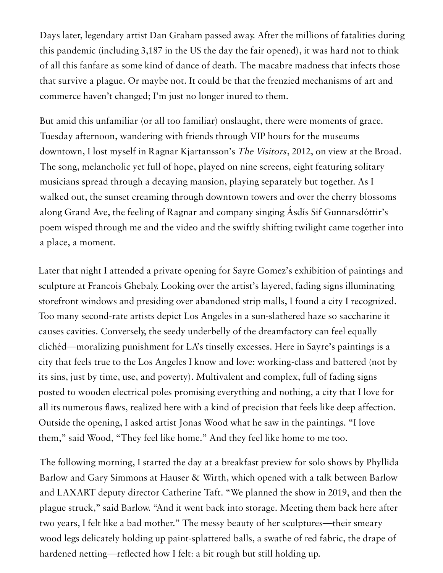Days later, legendary artist Dan Graham passed away. After the millions of fatalities during this pandemic (including 3,187 in the US the day the fair opened), it was hard not to think of all this fanfare as some kind of dance of death. The macabre madness that infects those that survive a plague. Or maybe not. It could be that the frenzied mechanisms of art and commerce haven't changed; I'm just no longer inured to them.

But amid this unfamiliar (or all too familiar) onslaught, there were moments of grace. Tuesday afternoon, wandering with friends through VIP hours for the museums downtown, I lost myself in Ragnar Kjartansson's The Visitors, 2012, on view at the Broad. The song, melancholic yet full of hope, played on nine screens, eight featuring solitary musicians spread through a decaying mansion, playing separately but together. As I walked out, the sunset creaming through downtown towers and over the cherry blossoms along Grand Ave, the feeling of Ragnar and company singing Ásdís Sif Gunnarsdóttir's poem wisped through me and the video and the swiftly shifting twilight came together into a place, a moment.

Later that night I attended a private opening for Sayre Gomez's exhibition of paintings and sculpture at Francois Ghebaly. Looking over the artist's layered, fading signs illuminating storefront windows and presiding over abandoned strip malls, I found a city I recognized. Too many second-rate artists depict Los Angeles in a sun-slathered haze so saccharine it causes cavities. Conversely, the seedy underbelly of the dreamfactory can feel equally clichéd—moralizing punishment for LA's tinselly excesses. Here in Sayre's paintings is a city that feels true to the Los Angeles I know and love: working-class and battered (not by its sins, just by time, use, and poverty). Multivalent and complex, full of fading signs posted to wooden electrical poles promising everything and nothing, a city that I love for all its numerous flaws, realized here with a kind of precision that feels like deep affection. Outside the opening, I asked artist Jonas Wood what he saw in the paintings. "I love them," said Wood, "They feel like home." And they feel like home to me too.

The following morning, I started the day at a breakfast preview for solo shows by Phyllida Barlow and Gary Simmons at Hauser & Wirth, which opened with a talk between Barlow and LAXART deputy director Catherine Taft. "We planned the show in 2019, and then the plague struck," said Barlow. "And it went back into storage. Meeting them back here after two years, I felt like a bad mother." The messy beauty of her sculptures—their smeary wood legs delicately holding up paint-splattered balls, a swathe of red fabric, the drape of hardened netting—reflected how I felt: a bit rough but still holding up.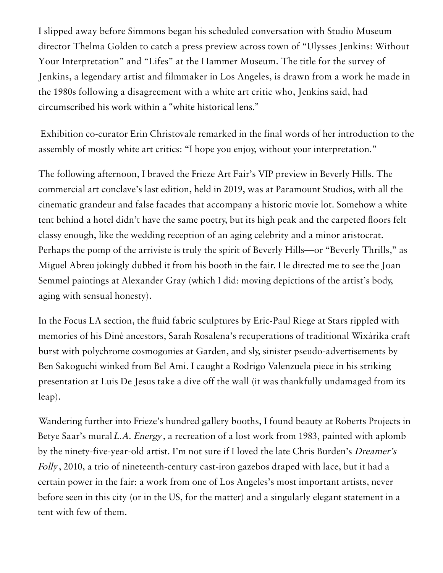I slipped away before Simmons began his scheduled conversation with Studio Museum director Thelma Golden to catch a press preview across town of "Ulysses Jenkins: Without Your Interpretation" and "Lifes" at the Hammer Museum. The title for the survey of Jenkins, a legendary artist and filmmaker in Los Angeles, is drawn from a work he made in the 1980s following a disagreement with a white art critic who, Jenkins said, had circumscribed his work within a "white historical lens."

 Exhibition co-curator Erin Christovale remarked in the final words of her introduction to the assembly of mostly white art critics: "I hope you enjoy, without your interpretation."

The following afternoon, I braved the Frieze Art Fair's VIP preview in Beverly Hills. The commercial art conclave's last edition, held in 2019, was at Paramount Studios, with all the cinematic grandeur and false facades that accompany a historic movie lot. Somehow a white tent behind a hotel didn't have the same poetry, but its high peak and the carpeted floors felt classy enough, like the wedding reception of an aging celebrity and a minor aristocrat. Perhaps the pomp of the arriviste is truly the spirit of Beverly Hills—or "Beverly Thrills," as Miguel Abreu jokingly dubbed it from his booth in the fair. He directed me to see the Joan Semmel paintings at Alexander Gray (which I did: moving depictions of the artist's body, aging with sensual honesty).

In the Focus LA section, the fluid fabric sculptures by Eric-Paul Riege at Stars rippled with memories of his Diné ancestors, Sarah Rosalena's recuperations of traditional Wixárika craft burst with polychrome cosmogonies at Garden, and sly, sinister pseudo-advertisements by Ben Sakoguchi winked from Bel Ami. I caught a Rodrigo Valenzuela piece in his striking presentation at Luis De Jesus take a dive off the wall (it was thankfully undamaged from its leap).

Wandering further into Frieze's hundred gallery booths, I found beauty at Roberts Projects in Betye Saar's mural L.A. Energy, a recreation of a lost work from 1983, painted with aplomb by the ninety-five-year-old artist. I'm not sure if I loved the late Chris Burden's Dreamer's Folly, 2010, a trio of nineteenth-century cast-iron gazebos draped with lace, but it had a certain power in the fair: a work from one of Los Angeles's most important artists, never before seen in this city (or in the US, for the matter) and a singularly elegant statement in a tent with few of them.